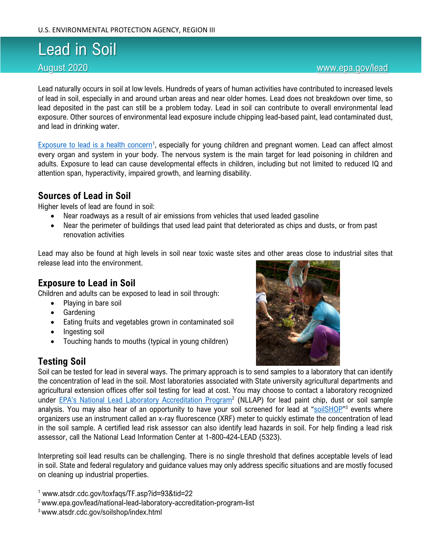# Lead in Soil

#### August 2020 [www.epa.gov/lead](http://www.epa.gov/lead)

Lead naturally occurs in soil at low levels. Hundreds of years of human activities have contributed to increased levels of [lead in soil](https://extension.psu.edu/lead-in-residential-soils-sources-testing-and-reducing-exposure), especially in and around urban areas and near older homes. Lead does not breakdown over time, so lead deposited in the past can still be a problem today. Lead in soil can contribute to overall environmental lead exposure. Other sources of environmental lead exposure include chipping lead-based paint, lead contaminated dust, and lead in drinking water.

[Exposure to lead is a health concern](https://www.atsdr.cdc.gov/toxfaqs/TF.asp?id=93&tid=22)<sup>1</sup>, especially for young children and pregnant women. Lead can affect almost every organ and system in your body. The nervous system is the main target for lead poisoning in children and adults. Exposure to lead can cause developmental effects in children, including but not limited to reduced IQ and attention span, hyperactivity, impaired growth, and learning disability.

### **Sources of Lead in Soil**

Higher levels of lead are found in soil:

- Near roadways as a result of air emissions from vehicles that used leaded gasoline
- Near the perimeter of buildings that used lead paint that deteriorated as chips and dusts, or from past renovation activities

Lead may also be found at high levels in soil near toxic waste sites and other areas close to industrial sites that release lead into the environment.

## **Exposure to Lead in Soil**

Children and adults can be exposed to lead in soil through:

- Playing in bare soil
- Gardening
- Eating fruits and vegetables grown in contaminated soil
- Ingesting soil
- Touching hands to mouths (typical in young children)

### **Testing Soil**



Soil can be tested for lead in several ways. The primary approach is to send samples to a laboratory that can identify the concentration of lead in the soil. Most laboratories associated with State university agricultural departments and agricultural extension offices offer soil testing for lead at cost. You may choose to contact a laboratory recognized under [EPA's National Lead Laboratory Accreditation Program](https://www.epa.gov/lead/national-lead-laboratory-accreditation-program-list)<sup>2</sup> (NLLAP) for lead paint chip, dust or soil sample analysis. You may also hear of an opportunity to have your soil screened for lead at "[soilSHOP](https://www.atsdr.cdc.gov/soilshop/index.html)"<sup>3</sup> events where organizers use an instrument called an x-ray fluorescence (XRF) meter to quickly estimate the concentration of lead in the soil sample. A certified lead risk assessor can also identify lead hazards in soil. For help finding a lead risk assessor, call the National Lead Information Center at 1-800-424-LEAD (5323).

Interpreting soil lead results can be challenging. There is no single threshold that defines acceptable levels of lead in soil. State and federal regulatory and guidance values may only address specific situations and are mostly focused on cleaning up industrial properties.

<sup>1</sup> www.atsdr.cdc.gov/toxfaqs/TF.asp?id=93&tid=22

- <sup>2</sup> www.epa.gov/lead/national-lead-laboratory-accreditation-program-list
- 3 www.atsdr.cdc.gov/soilshop/index.html